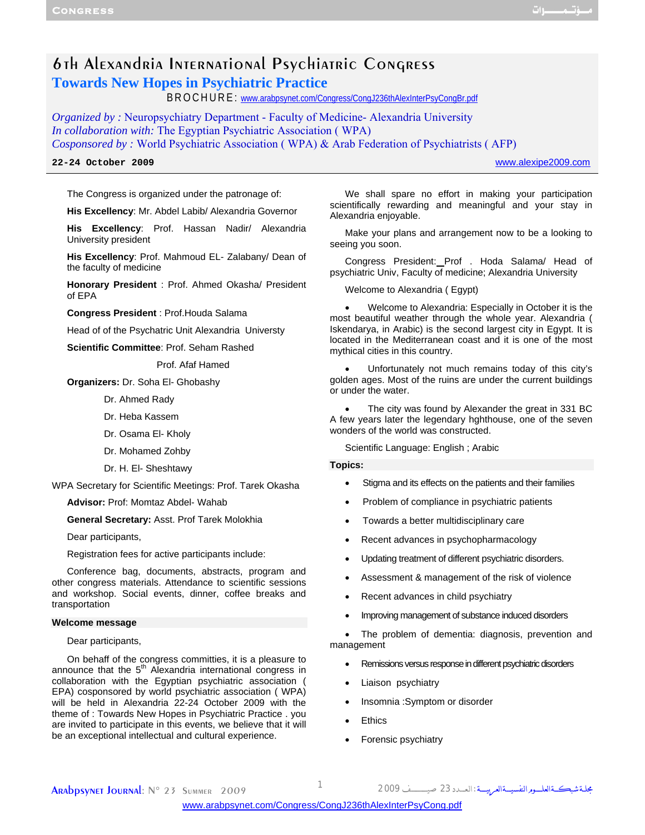# 6th Alexandria International Psychiatric Congress **Towards New Hopes in Psychiatric Practice**

BROCHURE: www.arabpsynet.com/Congress/CongJ236thAlexInterPsyCongBr.pdf

*Organized by :* Neuropsychiatry Department - Faculty of Medicine- Alexandria University *In collaboration with:* The Egyptian Psychiatric Association ( WPA) *Cosponsored by :* World Psychiatric Association ( WPA) & Arab Federation of Psychiatrists ( AFP)

**22-24 October 2009** www.alexipe2009.com

The Congress is organized under the patronage of:

**His Excellency**: Mr. Abdel Labib/ Alexandria Governor

**His Excellency**: Prof. Hassan Nadir/ Alexandria University president

**His Excellency**: Prof. Mahmoud EL- Zalabany/ Dean of the faculty of medicine

**Honorary President** : Prof. Ahmed Okasha/ President of EPA

**Congress President** : Prof.Houda Salama

Head of of the Psychatric Unit Alexandria Universty

**Scientific Committee**: Prof. Seham Rashed

Prof. Afaf Hamed

**Organizers:** Dr. Soha El- Ghobashy

- Dr. Ahmed Rady
- Dr. Heba Kassem
- Dr. Osama El- Kholy
- Dr. Mohamed Zohby
- Dr. H. El- Sheshtawy

WPA Secretary for Scientific Meetings: Prof. Tarek Okasha

**Advisor:** Prof: Momtaz Abdel- Wahab

**General Secretary:** Asst. Prof Tarek Molokhia

Dear participants,

Registration fees for active participants include:

Conference bag, documents, abstracts, program and other congress materials. Attendance to scientific sessions and workshop. Social events, dinner, coffee breaks and transportation

#### **Welcome message**

Dear participants,

On behaff of the congress committies, it is a pleasure to announce that the  $5<sup>th</sup>$  Alexandria international congress in collaboration with the Egyptian psychiatric association ( EPA) cosponsored by world psychiatric association ( WPA) will be held in Alexandria 22-24 October 2009 with the theme of : Towards New Hopes in Psychiatric Practice . you are invited to participate in this events, we believe that it will be an exceptional intellectual and cultural experience.

We shall spare no effort in making your participation scientifically rewarding and meaningful and your stay in Alexandria enjoyable.

Make your plans and arrangement now to be a looking to seeing you soon.

Congress President: Prof . Hoda Salama/ Head of psychiatric Univ, Faculty of medicine; Alexandria University

Welcome to Alexandria ( Egypt)

• Welcome to Alexandria: Especially in October it is the most beautiful weather through the whole year. Alexandria ( Iskendarya, in Arabic) is the second largest city in Egypt. It is located in the Mediterranean coast and it is one of the most mythical cities in this country.

• Unfortunately not much remains today of this city's golden ages. Most of the ruins are under the current buildings or under the water.

• The city was found by Alexander the great in 331 BC A few years later the legendary hghthouse, one of the seven wonders of the world was constructed.

Scientific Language: English ; Arabic

#### **Topics:**

- Stigma and its effects on the patients and their families
- Problem of compliance in psychiatric patients
- Towards a better multidisciplinary care
- Recent advances in psychopharmacology
- Updating treatment of different psychiatric disorders.
- Assessment & management of the risk of violence
- Recent advances in child psychiatry
- Improving management of substance induced disorders

The problem of dementia: diagnosis, prevention and management

- Remissions versus response in different psychiatric disorders
- Liaison psychiatry
- Insomnia :Symptom or disorder
- **Ethics**
- Forensic psychiatry